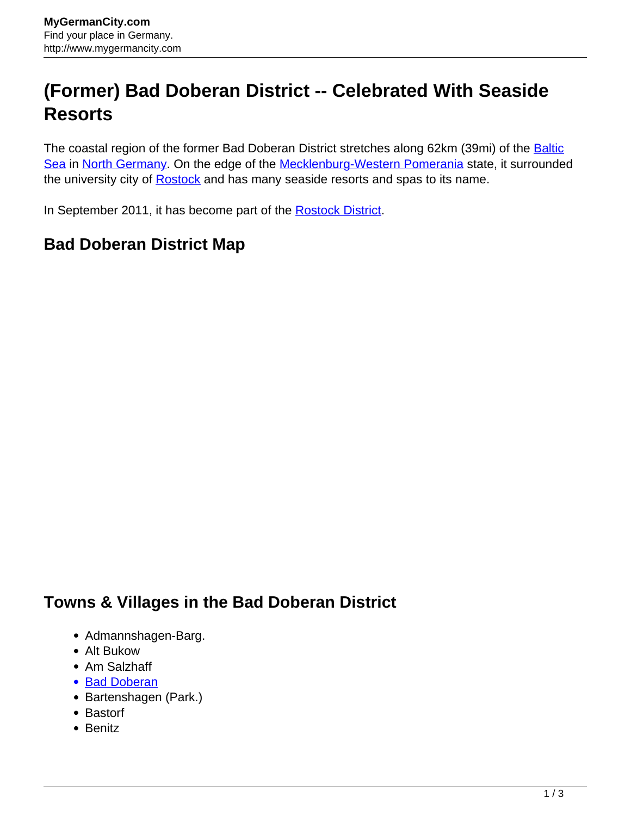## **(Former) Bad Doberan District -- Celebrated With Seaside Resorts**

The coastal region of the former Bad Doberan District stretches along 62km (39mi) of the [Baltic](http://www.mygermancity.com/baltic-sea) [Sea](http://www.mygermancity.com/baltic-sea) in [North Germany.](http://www.mygermancity.com/north-germany) On the edge of the [Mecklenburg-Western Pomerania](http://www.mygermancity.com/mecklenburg-western-pomerania) state, it surrounded the university city of [Rostock](http://www.mygermancity.com/rostock) and has many seaside resorts and spas to its name.

In September 2011, it has become part of the [Rostock District.](http://www.mygermancity.com/rostock-district)

## **Bad Doberan District Map**

## **Towns & Villages in the Bad Doberan District**

- Admannshagen-Barg.
- Alt Bukow
- Am Salzhaff
- [Bad Doberan](http://www.mygermancity.com/bad-doberan)
- Bartenshagen (Park.)
- Bastorf
- Benitz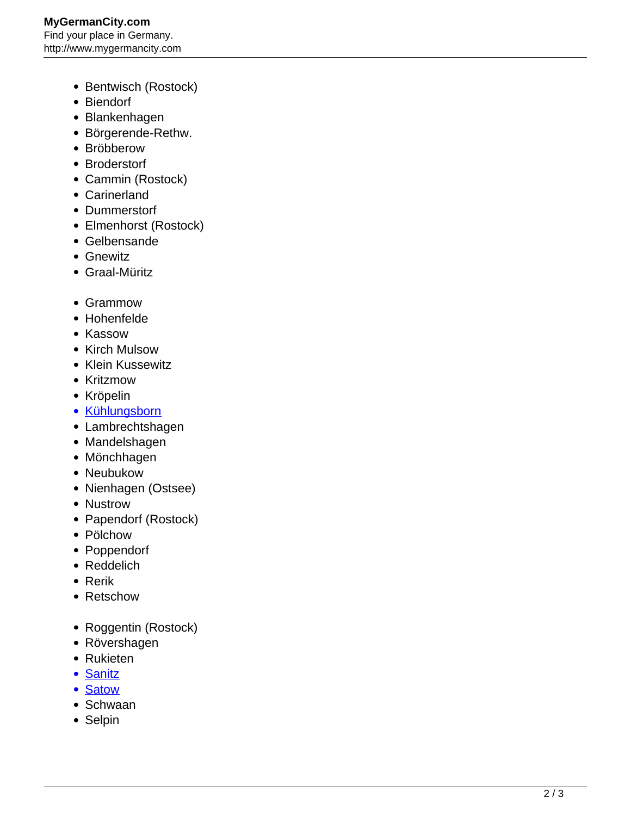- Bentwisch (Rostock)
- Biendorf
- Blankenhagen
- Börgerende-Rethw.
- Bröbberow
- Broderstorf
- Cammin (Rostock)
- Carinerland
- Dummerstorf
- Elmenhorst (Rostock)
- Gelbensande
- Gnewitz
- Graal-Müritz
- Grammow
- Hohenfelde
- Kassow
- Kirch Mulsow
- Klein Kussewitz
- Kritzmow
- Kröpelin
- [Kühlungsborn](http://www.mygermancity.com/kuehlungsborn)
- Lambrechtshagen
- Mandelshagen
- Mönchhagen
- Neubukow
- Nienhagen (Ostsee)
- Nustrow
- Papendorf (Rostock)
- Pölchow
- Poppendorf
- Reddelich
- Rerik
- Retschow
- Roggentin (Rostock)
- Rövershagen
- Rukieten
- [Sanitz](http://www.mygermancity.com/sanitz)
- [Satow](http://www.mygermancity.com/satow)
- Schwaan
- Selpin